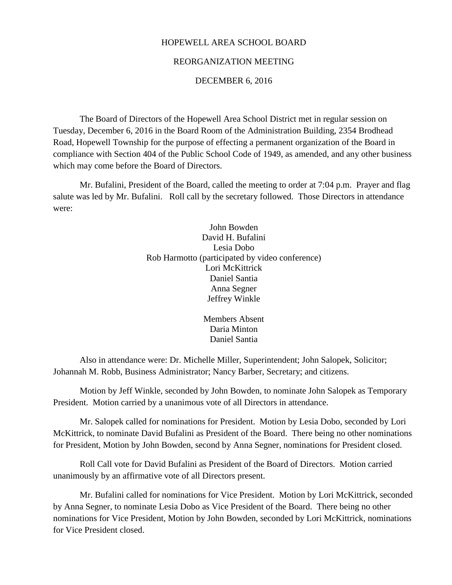### HOPEWELL AREA SCHOOL BOARD

#### REORGANIZATION MEETING

#### DECEMBER 6, 2016

The Board of Directors of the Hopewell Area School District met in regular session on Tuesday, December 6, 2016 in the Board Room of the Administration Building, 2354 Brodhead Road, Hopewell Township for the purpose of effecting a permanent organization of the Board in compliance with Section 404 of the Public School Code of 1949, as amended, and any other business which may come before the Board of Directors.

Mr. Bufalini, President of the Board, called the meeting to order at 7:04 p.m. Prayer and flag salute was led by Mr. Bufalini. Roll call by the secretary followed. Those Directors in attendance were:

> John Bowden David H. Bufalini Lesia Dobo Rob Harmotto (participated by video conference) Lori McKittrick Daniel Santia Anna Segner Jeffrey Winkle

> > Members Absent Daria Minton Daniel Santia

Also in attendance were: Dr. Michelle Miller, Superintendent; John Salopek, Solicitor; Johannah M. Robb, Business Administrator; Nancy Barber, Secretary; and citizens.

Motion by Jeff Winkle, seconded by John Bowden, to nominate John Salopek as Temporary President. Motion carried by a unanimous vote of all Directors in attendance.

Mr. Salopek called for nominations for President. Motion by Lesia Dobo, seconded by Lori McKittrick, to nominate David Bufalini as President of the Board. There being no other nominations for President, Motion by John Bowden, second by Anna Segner, nominations for President closed.

Roll Call vote for David Bufalini as President of the Board of Directors. Motion carried unanimously by an affirmative vote of all Directors present.

Mr. Bufalini called for nominations for Vice President. Motion by Lori McKittrick, seconded by Anna Segner, to nominate Lesia Dobo as Vice President of the Board. There being no other nominations for Vice President, Motion by John Bowden, seconded by Lori McKittrick, nominations for Vice President closed.